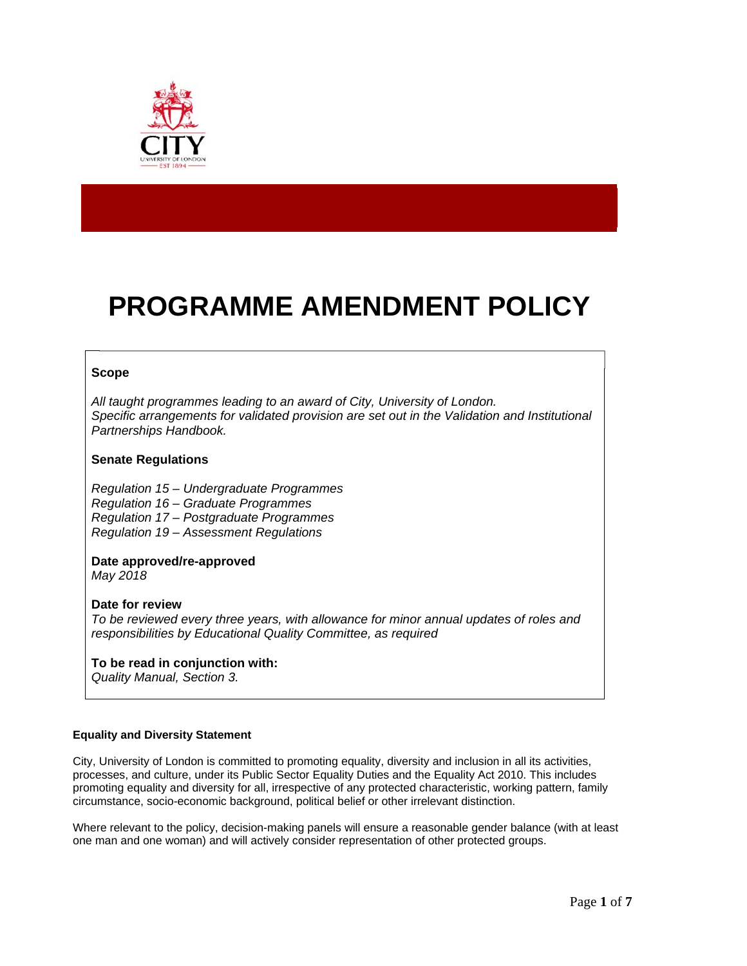

# **PROGRAMME AMENDMENT POLICY**

## **Scope**

*All taught programmes leading to an award of City, University of London. Specific arrangements for validated provision are set out in the Validation and Institutional Partnerships Handbook.* 

## **Senate Regulations**

*Regulation 15 – Undergraduate Programmes Regulation 16 – Graduate Programmes Regulation 17 – Postgraduate Programmes Regulation 19 – Assessment Regulations*

## **Date approved/re-approved** *May 2018*

**Date for review**  *To be reviewed every three years, with allowance for minor annual updates of roles and responsibilities by Educational Quality Committee, as required* 

# **To be read in conjunction with:**

*Quality Manual, Section 3.* 

## **Equality and Diversity Statement**

City, University of London is committed to promoting equality, diversity and inclusion in all its activities, processes, and culture, under its Public Sector Equality Duties and the Equality Act 2010. This includes promoting equality and diversity for all, irrespective of any protected characteristic, working pattern, family circumstance, socio-economic background, political belief or other irrelevant distinction.

Where relevant to the policy, decision-making panels will ensure a reasonable gender balance (with at least one man and one woman) and will actively consider representation of other protected groups.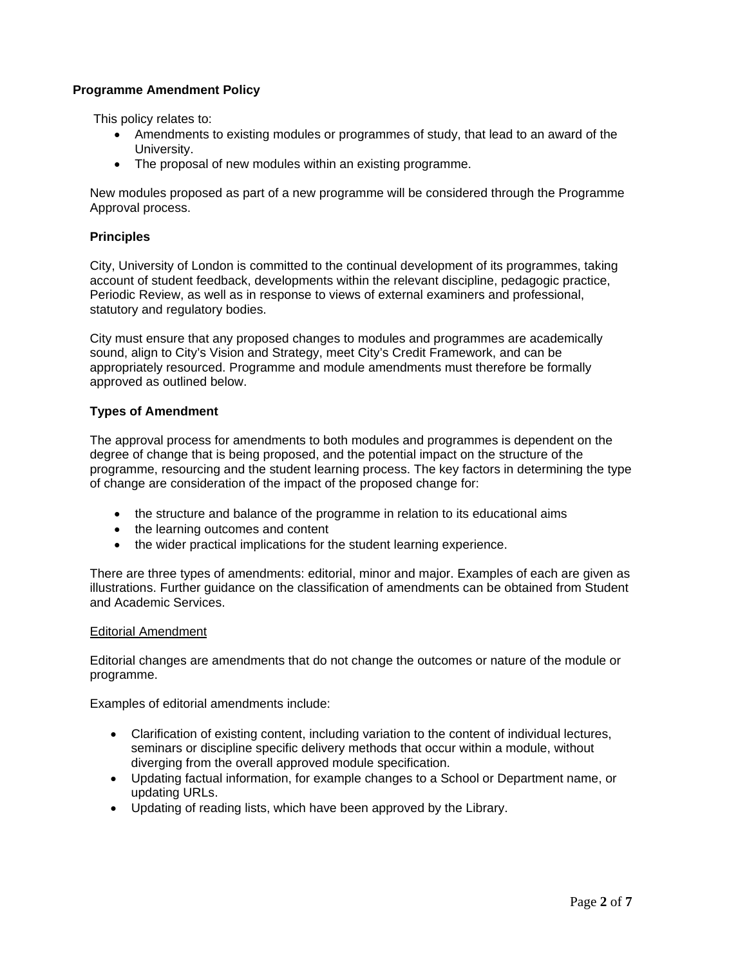# **Programme Amendment Policy**

This policy relates to:

- Amendments to existing modules or programmes of study, that lead to an award of the University.
- The proposal of new modules within an existing programme.

New modules proposed as part of a new programme will be considered through the Programme Approval process.

# **Principles**

City, University of London is committed to the continual development of its programmes, taking account of student feedback, developments within the relevant discipline, pedagogic practice, Periodic Review, as well as in response to views of external examiners and professional, statutory and regulatory bodies.

City must ensure that any proposed changes to modules and programmes are academically sound, align to City's Vision and Strategy, meet City's Credit Framework, and can be appropriately resourced. Programme and module amendments must therefore be formally approved as outlined below.

## **Types of Amendment**

The approval process for amendments to both modules and programmes is dependent on the degree of change that is being proposed, and the potential impact on the structure of the programme, resourcing and the student learning process. The key factors in determining the type of change are consideration of the impact of the proposed change for:

- the structure and balance of the programme in relation to its educational aims
- the learning outcomes and content
- the wider practical implications for the student learning experience.

There are three types of amendments: editorial, minor and major. Examples of each are given as illustrations. Further guidance on the classification of amendments can be obtained from Student and Academic Services.

## Editorial Amendment

Editorial changes are amendments that do not change the outcomes or nature of the module or programme.

Examples of editorial amendments include:

- Clarification of existing content, including variation to the content of individual lectures, seminars or discipline specific delivery methods that occur within a module, without diverging from the overall approved module specification.
- Updating factual information, for example changes to a School or Department name, or updating URLs.
- Updating of reading lists, which have been approved by the Library.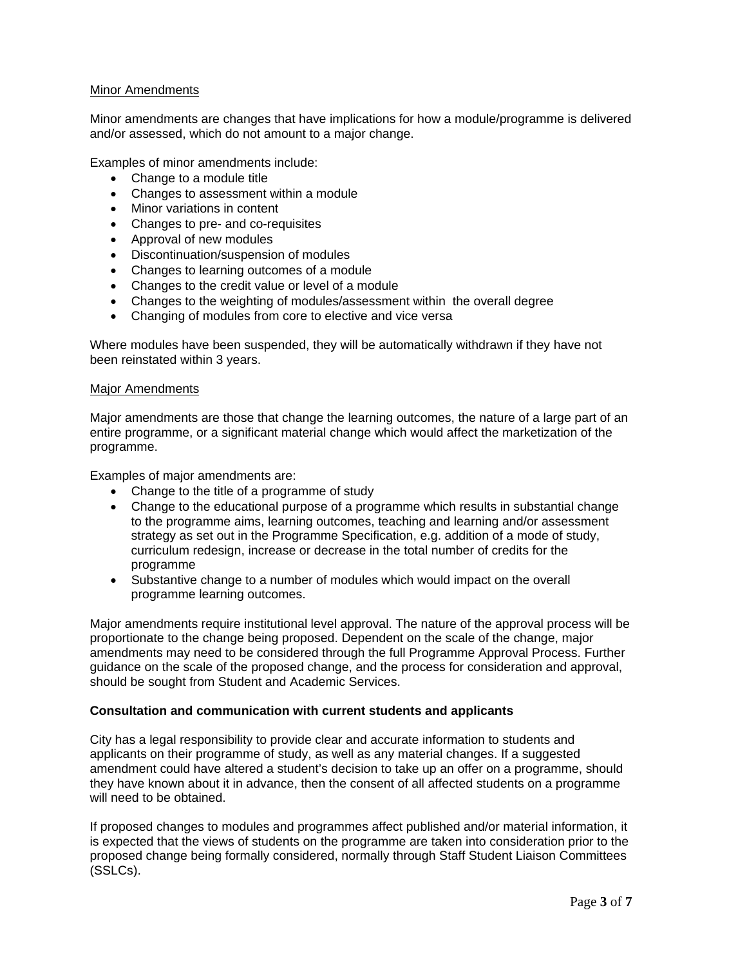## Minor Amendments

Minor amendments are changes that have implications for how a module/programme is delivered and/or assessed, which do not amount to a major change.

Examples of minor amendments include:

- Change to a module title
- Changes to assessment within a module
- Minor variations in content
- Changes to pre- and co-requisites
- Approval of new modules
- Discontinuation/suspension of modules
- Changes to learning outcomes of a module
- Changes to the credit value or level of a module
- Changes to the weighting of modules/assessment within the overall degree
- Changing of modules from core to elective and vice versa

Where modules have been suspended, they will be automatically withdrawn if they have not been reinstated within 3 years.

#### Major Amendments

Major amendments are those that change the learning outcomes, the nature of a large part of an entire programme, or a significant material change which would affect the marketization of the programme.

Examples of major amendments are:

- Change to the title of a programme of study
- Change to the educational purpose of a programme which results in substantial change to the programme aims, learning outcomes, teaching and learning and/or assessment strategy as set out in the Programme Specification, e.g. addition of a mode of study, curriculum redesign, increase or decrease in the total number of credits for the programme
- Substantive change to a number of modules which would impact on the overall programme learning outcomes.

Major amendments require institutional level approval. The nature of the approval process will be proportionate to the change being proposed. Dependent on the scale of the change, major amendments may need to be considered through the full Programme Approval Process. Further guidance on the scale of the proposed change, and the process for consideration and approval, should be sought from Student and Academic Services.

## **Consultation and communication with current students and applicants**

City has a legal responsibility to provide clear and accurate information to students and applicants on their programme of study, as well as any material changes. If a suggested amendment could have altered a student's decision to take up an offer on a programme, should they have known about it in advance, then the consent of all affected students on a programme will need to be obtained.

If proposed changes to modules and programmes affect published and/or material information, it is expected that the views of students on the programme are taken into consideration prior to the proposed change being formally considered, normally through Staff Student Liaison Committees (SSLCs).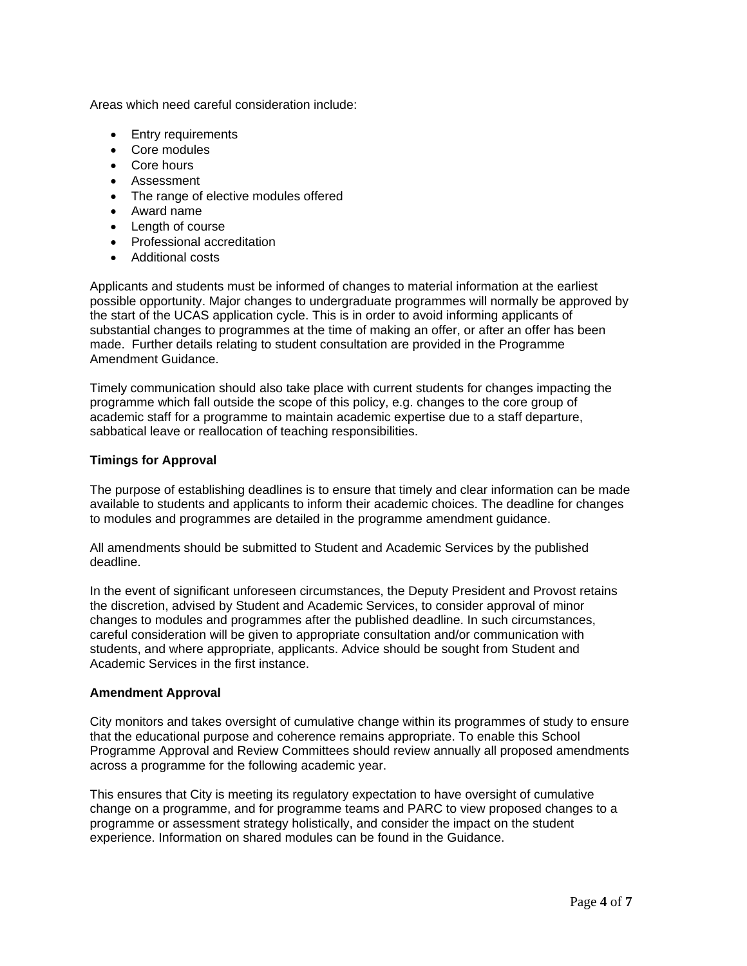Areas which need careful consideration include:

- Entry requirements
- Core modules
- Core hours
- Assessment
- The range of elective modules offered
- Award name
- Length of course
- Professional accreditation
- Additional costs

Applicants and students must be informed of changes to material information at the earliest possible opportunity. Major changes to undergraduate programmes will normally be approved by the start of the UCAS application cycle. This is in order to avoid informing applicants of substantial changes to programmes at the time of making an offer, or after an offer has been made. Further details relating to student consultation are provided in the Programme Amendment Guidance.

Timely communication should also take place with current students for changes impacting the programme which fall outside the scope of this policy, e.g. changes to the core group of academic staff for a programme to maintain academic expertise due to a staff departure, sabbatical leave or reallocation of teaching responsibilities.

## **Timings for Approval**

The purpose of establishing deadlines is to ensure that timely and clear information can be made available to students and applicants to inform their academic choices. The deadline for changes to modules and programmes are detailed in the programme amendment guidance.

All amendments should be submitted to Student and Academic Services by the published deadline.

In the event of significant unforeseen circumstances, the Deputy President and Provost retains the discretion, advised by Student and Academic Services, to consider approval of minor changes to modules and programmes after the published deadline. In such circumstances, careful consideration will be given to appropriate consultation and/or communication with students, and where appropriate, applicants. Advice should be sought from Student and Academic Services in the first instance.

## **Amendment Approval**

City monitors and takes oversight of cumulative change within its programmes of study to ensure that the educational purpose and coherence remains appropriate. To enable this School Programme Approval and Review Committees should review annually all proposed amendments across a programme for the following academic year.

This ensures that City is meeting its regulatory expectation to have oversight of cumulative change on a programme, and for programme teams and PARC to view proposed changes to a programme or assessment strategy holistically, and consider the impact on the student experience. Information on shared modules can be found in the Guidance.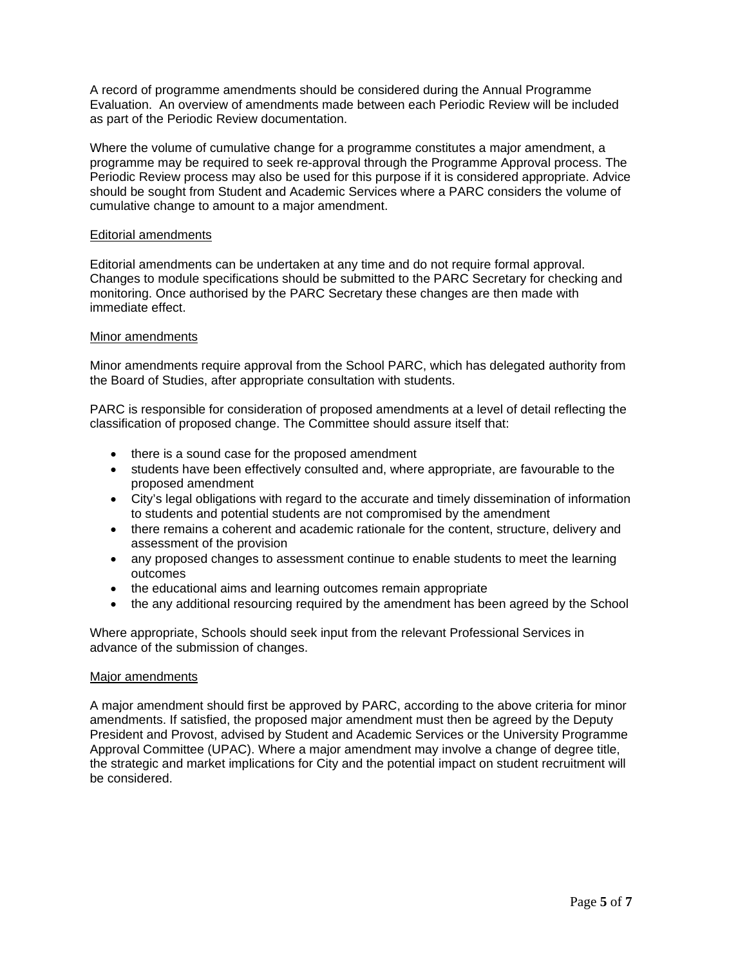A record of programme amendments should be considered during the Annual Programme Evaluation. An overview of amendments made between each Periodic Review will be included as part of the Periodic Review documentation.

Where the volume of cumulative change for a programme constitutes a major amendment, a programme may be required to seek re-approval through the Programme Approval process. The Periodic Review process may also be used for this purpose if it is considered appropriate. Advice should be sought from Student and Academic Services where a PARC considers the volume of cumulative change to amount to a major amendment.

## Editorial amendments

Editorial amendments can be undertaken at any time and do not require formal approval. Changes to module specifications should be submitted to the PARC Secretary for checking and monitoring. Once authorised by the PARC Secretary these changes are then made with immediate effect.

## Minor amendments

Minor amendments require approval from the School PARC, which has delegated authority from the Board of Studies, after appropriate consultation with students.

PARC is responsible for consideration of proposed amendments at a level of detail reflecting the classification of proposed change. The Committee should assure itself that:

- there is a sound case for the proposed amendment
- students have been effectively consulted and, where appropriate, are favourable to the proposed amendment
- City's legal obligations with regard to the accurate and timely dissemination of information to students and potential students are not compromised by the amendment
- there remains a coherent and academic rationale for the content, structure, delivery and assessment of the provision
- any proposed changes to assessment continue to enable students to meet the learning outcomes
- the educational aims and learning outcomes remain appropriate
- the any additional resourcing required by the amendment has been agreed by the School

Where appropriate, Schools should seek input from the relevant Professional Services in advance of the submission of changes.

## Major amendments

A major amendment should first be approved by PARC, according to the above criteria for minor amendments. If satisfied, the proposed major amendment must then be agreed by the Deputy President and Provost, advised by Student and Academic Services or the University Programme Approval Committee (UPAC). Where a major amendment may involve a change of degree title, the strategic and market implications for City and the potential impact on student recruitment will be considered.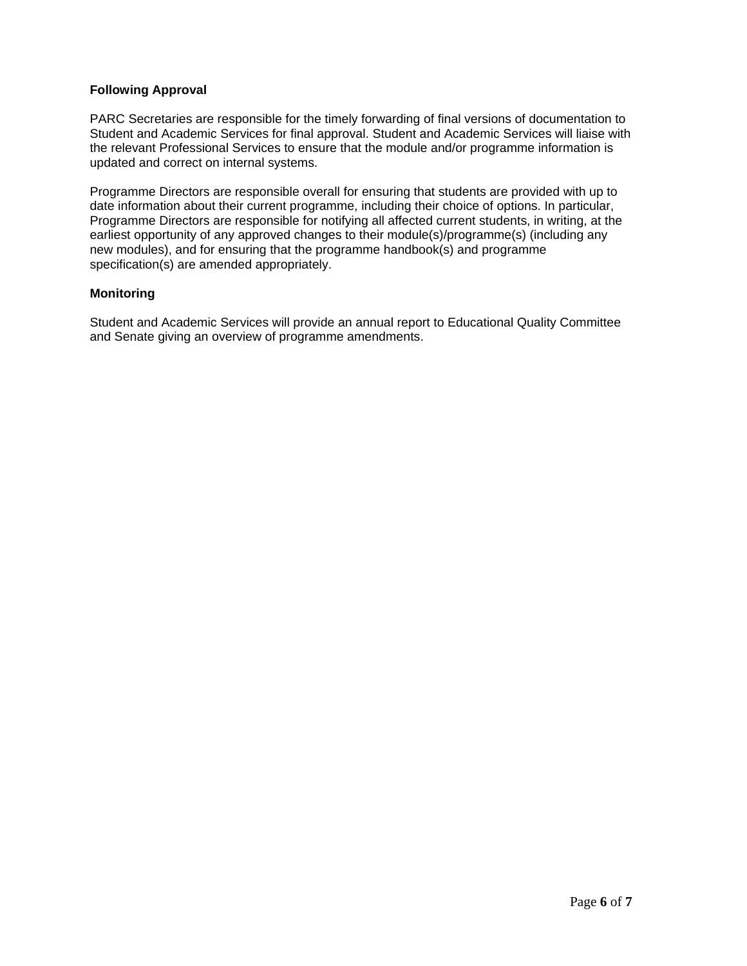# **Following Approval**

PARC Secretaries are responsible for the timely forwarding of final versions of documentation to Student and Academic Services for final approval. Student and Academic Services will liaise with the relevant Professional Services to ensure that the module and/or programme information is updated and correct on internal systems.

Programme Directors are responsible overall for ensuring that students are provided with up to date information about their current programme, including their choice of options. In particular, Programme Directors are responsible for notifying all affected current students, in writing, at the earliest opportunity of any approved changes to their module(s)/programme(s) (including any new modules), and for ensuring that the programme handbook(s) and programme specification(s) are amended appropriately.

## **Monitoring**

Student and Academic Services will provide an annual report to Educational Quality Committee and Senate giving an overview of programme amendments.